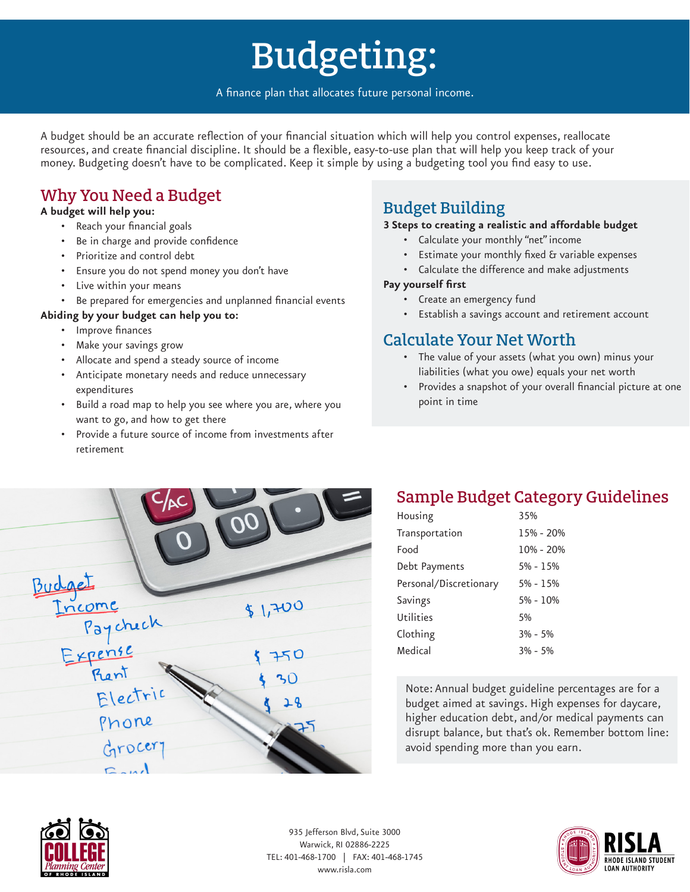# Budgeting:

A finance plan that allocates future personal income.

A budget should be an accurate reflection of your financial situation which will help you control expenses, reallocate resources, and create financial discipline. It should be a flexible, easy-to-use plan that will help you keep track of your money. Budgeting doesn't have to be complicated. Keep it simple by using a budgeting tool you find easy to use.

### Why You Need a Budget

#### **A budget will help you:**

- Reach your financial goals
- Be in charge and provide confidence
- Prioritize and control debt
- Ensure you do not spend money you don't have
- Live within your means
- Be prepared for emergencies and unplanned financial events

#### **Abiding by your budget can help you to:**

- Improve finances
- Make your savings grow
- Allocate and spend a steady source of income
- Anticipate monetary needs and reduce unnecessary expenditures
- Build a road map to help you see where you are, where you want to go, and how to get there
- Provide a future source of income from investments after retirement

## Budget Building

#### **3 Steps to creating a realistic and affordable budget**

- Calculate your monthly "net" income
- Estimate your monthly fixed & variable expenses
- Calculate the difference and make adjustments

#### **Pay yourself first**

- Create an emergency fund
- Establish a savings account and retirement account

#### Calculate Your Net Worth

- The value of your assets (what you own) minus your liabilities (what you owe) equals your net worth
- Provides a snapshot of your overall financial picture at one point in time



### Sample Budget Category Guidelines

| Housing                | 35%          |
|------------------------|--------------|
| Transportation         | 15% - 20%    |
| Food                   | 10% - 20%    |
| Debt Payments          | $5% - 15%$   |
| Personal/Discretionary | $5\% - 15\%$ |
| Savings                | $5% - 10%$   |
| Utilities              | 5%           |
| Clothing               | $3\% - 5\%$  |
| Medical                | $3\% - 5\%$  |
|                        |              |

Note: Annual budget guideline percentages are for a budget aimed at savings. High expenses for daycare, higher education debt, and/or medical payments can disrupt balance, but that's ok. Remember bottom line: avoid spending more than you earn.



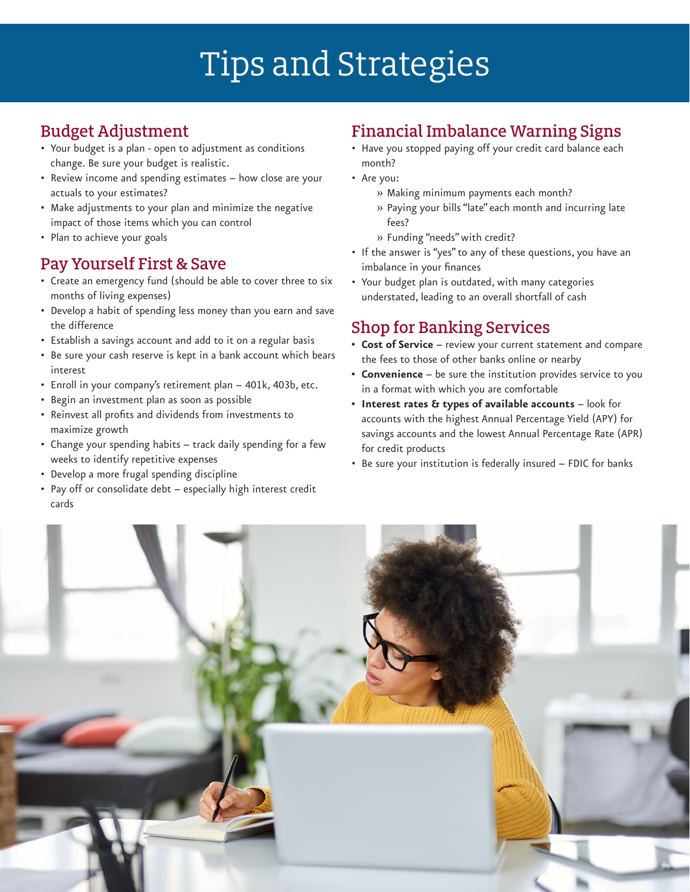# Tips and Strategies

### Budget Adjustment

- Your budget is a plan open to adjustment as conditions change. Be sure your budget is realistic.
- Review income and spending estimates how close are your actuals to your estimates?
- Make adjustments to your plan and minimize the negative impact of those items which you can control
- Plan to achieve your goals

#### Pay Yourself First & Save

- Create an emergency fund (should be able to cover three to six months of living expenses)
- Develop a habit of spending less money than you earn and save the difference
- Establish a savings account and add to it on a regular basis
- Be sure your cash reserve is kept in a bank account which bears interest
- Enroll in your company's retirement plan 401k, 403b, etc.
- Begin an investment plan as soon as possible
- Reinvest all profits and dividends from investments to maximize growth
- Change your spending habits track daily spending for a few weeks to identify repetitive expenses
- Develop a more frugal spending discipline
- Pay off or consolidate debt especially high interest credit cards

#### Financial Imbalance Warning Signs

- Have you stopped paying off your credit card balance each month?
- Are you:
	- » Making minimum payments each month?
	- » Paying your bills "late" each month and incurring late fees?
	- » Funding "needs" with credit?
- If the answer is "yes" to any of these questions, you have an imbalance in your finances
- Your budget plan is outdated, with many categories understated, leading to an overall shortfall of cash

### Shop for Banking Services

- **• Cost of Service**  review your current statement and compare the fees to those of other banks online or nearby
- **• Convenience** be sure the institution provides service to you in a format with which you are comfortable
- **• Interest rates & types of available accounts** look for accounts with the highest Annual Percentage Yield (APY) for savings accounts and the lowest Annual Percentage Rate (APR) for credit products
- Be sure your institution is federally insured FDIC for banks

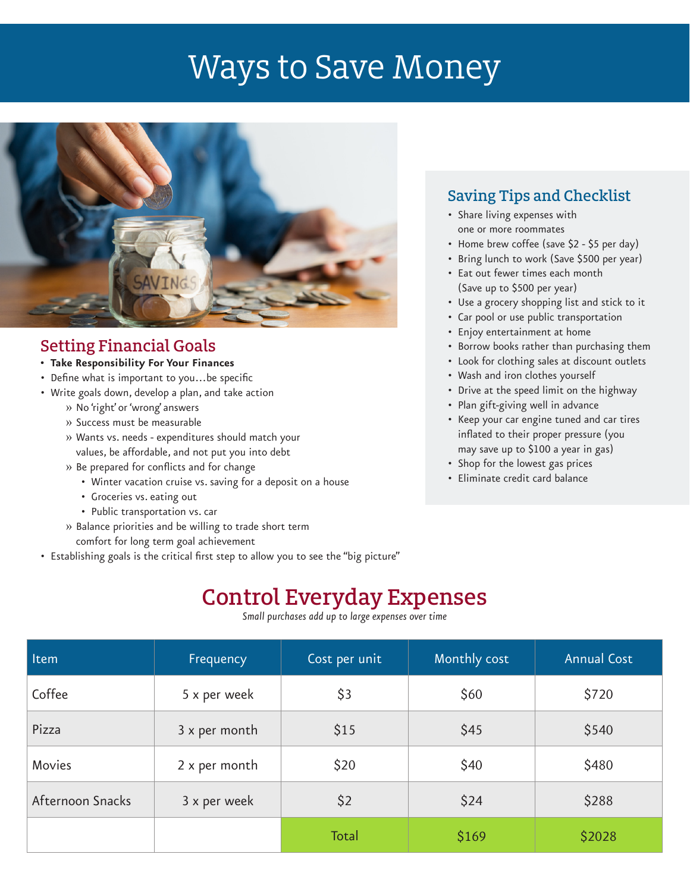# Ways to Save Money



#### Setting Financial Goals

- **• Take Responsibility For Your Finances**
- Define what is important to you…be specific
- Write goals down, develop a plan, and take action
	- » No 'right' or 'wrong' answers
	- » Success must be measurable
	- » Wants vs. needs expenditures should match your values, be affordable, and not put you into debt
	- » Be prepared for conflicts and for change
		- Winter vacation cruise vs. saving for a deposit on a house
		- Groceries vs. eating out
		- Public transportation vs. car
	- » Balance priorities and be willing to trade short term comfort for long term goal achievement
- Establishing goals is the critical first step to allow you to see the "big picture"

#### Saving Tips and Checklist

- Share living expenses with one or more roommates
- Home brew coffee (save \$2 \$5 per day)
- Bring lunch to work (Save \$500 per year)
- Eat out fewer times each month (Save up to \$500 per year)
- Use a grocery shopping list and stick to it
- Car pool or use public transportation
- Enjoy entertainment at home
- Borrow books rather than purchasing them
- Look for clothing sales at discount outlets
- Wash and iron clothes yourself
- Drive at the speed limit on the highway
- Plan gift-giving well in advance
- Keep your car engine tuned and car tires inflated to their proper pressure (you may save up to \$100 a year in gas)
- Shop for the lowest gas prices
- Eliminate credit card balance

## Control Everyday Expenses

*Small purchases add up to large expenses over time*

| Item             | Frequency     | Cost per unit | Monthly cost | <b>Annual Cost</b> |
|------------------|---------------|---------------|--------------|--------------------|
| Coffee           | 5 x per week  | \$3           | \$60         | \$720              |
| Pizza            | 3 x per month | \$15          | \$45         | \$540              |
| Movies           | 2 x per month | \$20          | \$40         | \$480              |
| Afternoon Snacks | 3 x per week  | \$2           | \$24         | \$288              |
|                  |               | Total         | \$169        | \$2028             |